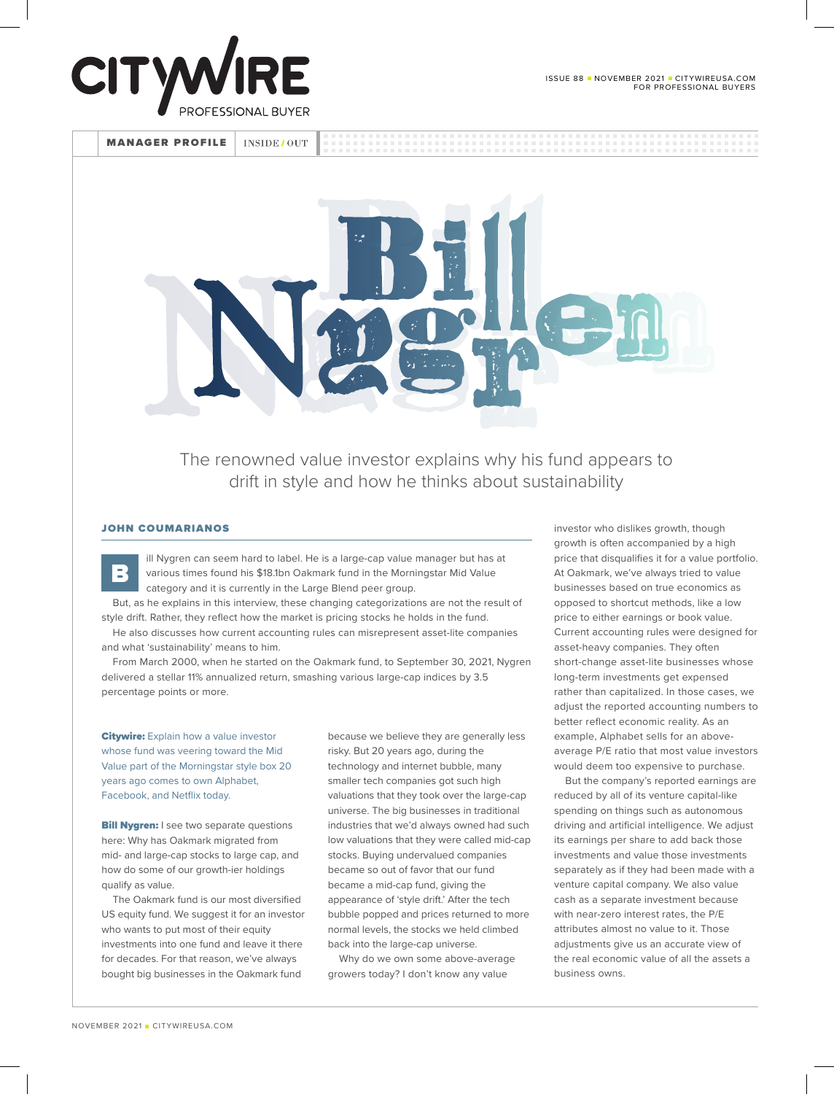



The renowned value investor explains why his fund appears to drift in style and how he thinks about sustainability

## JOHN COUMARIANOS

B

ill Nygren can seem hard to label. He is a large-cap value manager but has at various times found his \$18.1bn Oakmark fund in the Morningstar Mid Value category and it is currently in the Large Blend peer group.

But, as he explains in this interview, these changing categorizations are not the result of style drift. Rather, they reflect how the market is pricing stocks he holds in the fund.

He also discusses how current accounting rules can misrepresent asset-lite companies and what 'sustainability' means to him.

From March 2000, when he started on the Oakmark fund, to September 30, 2021, Nygren delivered a stellar 11% annualized return, smashing various large-cap indices by 3.5 percentage points or more.

**Citywire:** Explain how a value investor whose fund was veering toward the Mid Value part of the Morningstar style box 20 years ago comes to own Alphabet, Facebook, and Netflix today.

**Bill Nygren:** I see two separate questions here: Why has Oakmark migrated from mid- and large-cap stocks to large cap, and how do some of our growth-ier holdings qualify as value.

The Oakmark fund is our most diversified US equity fund. We suggest it for an investor who wants to put most of their equity investments into one fund and leave it there for decades. For that reason, we've always bought big businesses in the Oakmark fund

because we believe they are generally less risky. But 20 years ago, during the technology and internet bubble, many smaller tech companies got such high valuations that they took over the large-cap universe. The big businesses in traditional industries that we'd always owned had such low valuations that they were called mid-cap stocks. Buying undervalued companies became so out of favor that our fund became a mid-cap fund, giving the appearance of 'style drift.' After the tech bubble popped and prices returned to more normal levels, the stocks we held climbed back into the large-cap universe.

Why do we own some above-average growers today? I don't know any value

investor who dislikes growth, though growth is often accompanied by a high price that disqualifies it for a value portfolio. At Oakmark, we've always tried to value businesses based on true economics as opposed to shortcut methods, like a low price to either earnings or book value. Current accounting rules were designed for asset-heavy companies. They often short-change asset-lite businesses whose long-term investments get expensed rather than capitalized. In those cases, we adjust the reported accounting numbers to better reflect economic reality. As an example, Alphabet sells for an aboveaverage P/E ratio that most value investors would deem too expensive to purchase.

But the company's reported earnings are reduced by all of its venture capital-like spending on things such as autonomous driving and artificial intelligence. We adjust its earnings per share to add back those investments and value those investments separately as if they had been made with a venture capital company. We also value cash as a separate investment because with near-zero interest rates, the P/E attributes almost no value to it. Those adiustments give us an accurate view of the real economic value of all the assets a business owns.